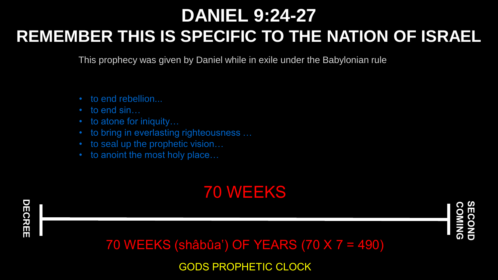# **DANIEL 9:24-27 REMEMBER THIS IS SPECIFIC TO THE NATION OF ISRAEL**

This prophecy was given by Daniel while in exile under the Babylonian rule

- to end rebellion...
- to end sin...
- to atone for iniquity...
- to bring in everlasting righteousness ...
- to seal up the prophetic vision...
- to anoint the most holy place...

#### 70 WEEKS



**COMING SECOND**

70 WEEKS (shâbûa') OF YEARS (70 X 7 = 490)

GODS PROPHETIC CLOCK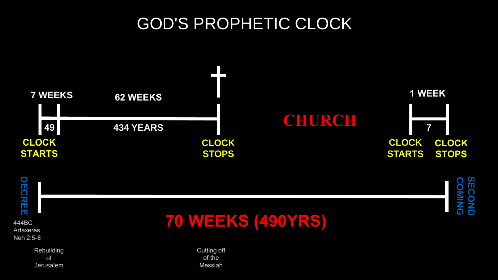## GOD'S PROPHETIC CLOCK





**SECOND**

 $\mathbf{u}$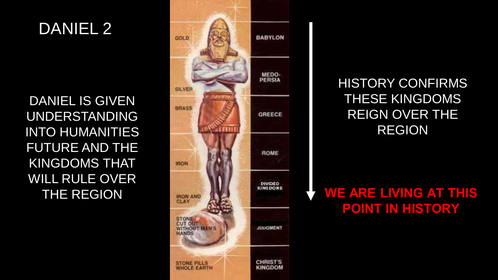#### DANIEL 2

DANIEL IS GIVEN UNDERSTANDING INTO HUMANITIES FUTURE AND THE KINGDOMS THAT WILL RULE OVER THE REGION



HISTORY CONFIRMS THESE KINGDOMS REIGN OVER THE REGION

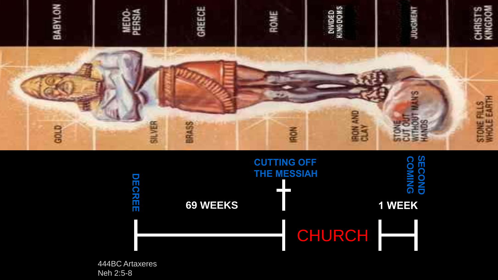



444BC Artaxeres Neh 2:5-8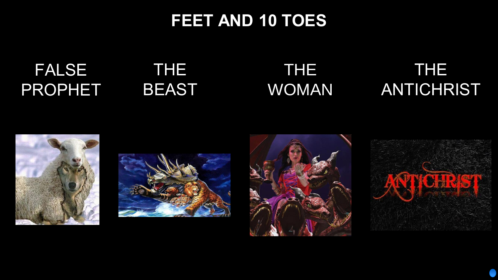## **FEET AND 10 TOES**

# FALSE PROPHET

## THE BEAST

# THE WOMAN

# THE ANTICHRIST









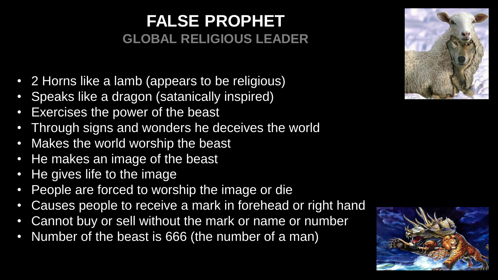### **FALSE PROPHET GLOBAL RELIGIOUS LEADER**

- 2 Horns like a lamb (appears to be religious)
- Speaks like a dragon (satanically inspired)
- Exercises the power of the beast
- Through signs and wonders he deceives the world
- Makes the world worship the beast
- He makes an image of the beast
- He gives life to the image
- People are forced to worship the image or die
- Causes people to receive a mark in forehead or right hand
- Cannot buy or sell without the mark or name or number
- Number of the beast is 666 (the number of a man)



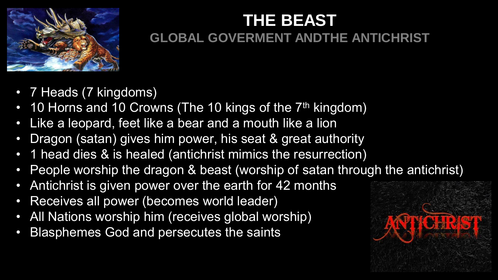

# **THE BEAST GLOBAL GOVERMENT ANDTHE ANTICHRIST**

- 7 Heads (7 kingdoms)
- 10 Horns and 10 Crowns (The 10 kings of the 7<sup>th</sup> kingdom)
- Like a leopard, feet like a bear and a mouth like a lion
- Dragon (satan) gives him power, his seat & great authority
- 1 head dies & is healed (antichrist mimics the resurrection)
- People worship the dragon & beast (worship of satan through the antichrist)
- Antichrist is given power over the earth for 42 months
- Receives all power (becomes world leader)
- All Nations worship him (receives global worship)
- Blasphemes God and persecutes the saints

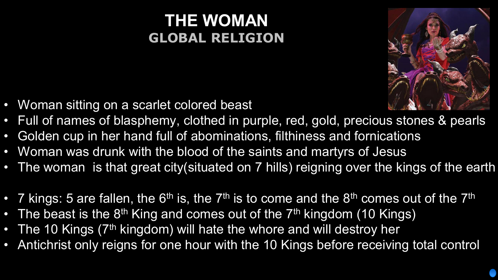### **THE WOMAN GLOBAL RELIGION**



- Woman sitting on a scarlet colored beast
- Full of names of blasphemy, clothed in purple, red, gold, precious stones & pearls
- Golden cup in her hand full of abominations, filthiness and fornications
- Woman was drunk with the blood of the saints and martyrs of Jesus
- The woman is that great city(situated on 7 hills) reigning over the kings of the earth
- 7 kings: 5 are fallen, the 6<sup>th</sup> is, the 7<sup>th</sup> is to come and the 8<sup>th</sup> comes out of the 7<sup>th</sup>
- The beast is the 8<sup>th</sup> King and comes out of the 7<sup>th</sup> kingdom (10 Kings)
- The 10 Kings (7<sup>th</sup> kingdom) will hate the whore and will destroy her
- Antichrist only reigns for one hour with the 10 Kings before receiving total control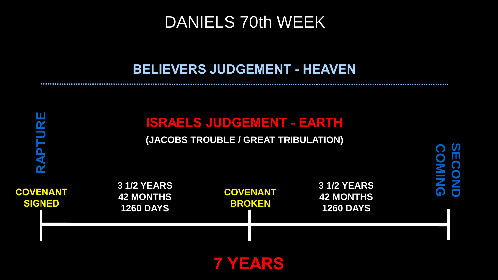#### DANIELS 70th WEEK

#### **BELIEVERS JUDGEMENT - HEAVEN**

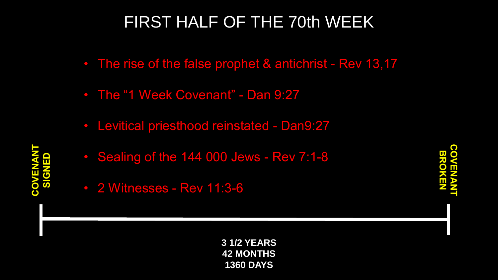# FIRST HALF OF THE 70th WEEK

- The rise of the false prophet & antichrist Rev 13,17
- The "1 Week Covenant" Dan 9:27
- Levitical priesthood reinstated Dan9:27
- Sealing of the 144 000 Jews Rev 7:1-8
- 2 Witnesses Rev 11:3-6

**3 1/2 YEARS 42 MONTHS 1360 DAYS**

**COVENANT BROKEN**

**COVENANT SIGNED**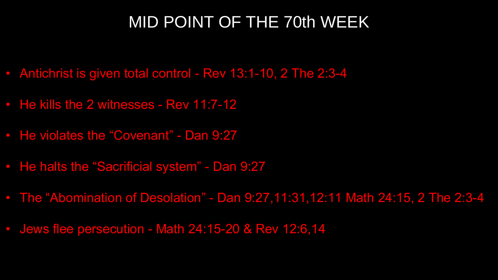#### MID POINT OF THE 70th WEEK

- Antichrist is given total control Rev 13:1-10, 2 The 2:3-4
- He kills the 2 witnesses Rev 11:7-12
- He violates the "Covenant" Dan 9:27
- He halts the "Sacrificial system" Dan 9:27
- The "Abomination of Desolation" Dan 9:27,11:31,12:11 Math 24:15, 2 The 2:3-4
- Jews flee persecution Math 24:15-20 & Rev 12:6,14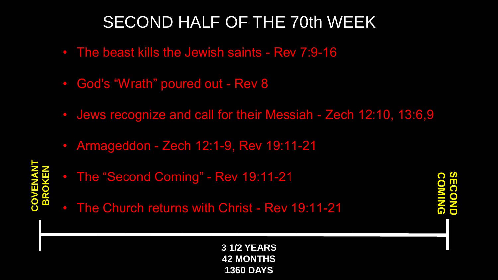# SECOND HALF OF THE 70th WEEK

- The beast kills the Jewish saints Rev 7:9-16
- God's "Wrath" poured out Rev 8
- Jews recognize and call for their Messiah Zech 12:10, 13:6,9
- Armageddon Zech 12:1-9, Rev 19:11-21

**COVENANT BROKEN**

- The "Second Coming" Rev 19:11-21
- The Church returns with Christ Rev 19:11-21

**SECONDCOMING SECONDE** 

**3 1/2 YEARS 42 MONTHS 1360 DAYS**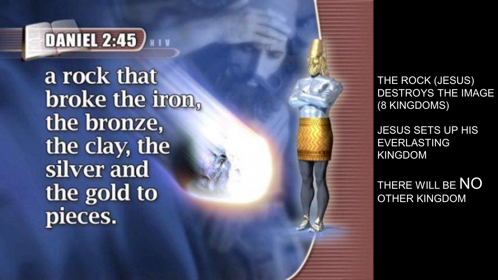

a rock that broke the iron. the bronze, the clay, the silver and the gold to pieces.

THE ROCK (JESUS) DESTROYS THE IMAGE (8 KINGDOMS)

JESUS SETS UP HIS EVERLASTING KINGDOM

THERE WILL BE NO OTHER KINGDOM